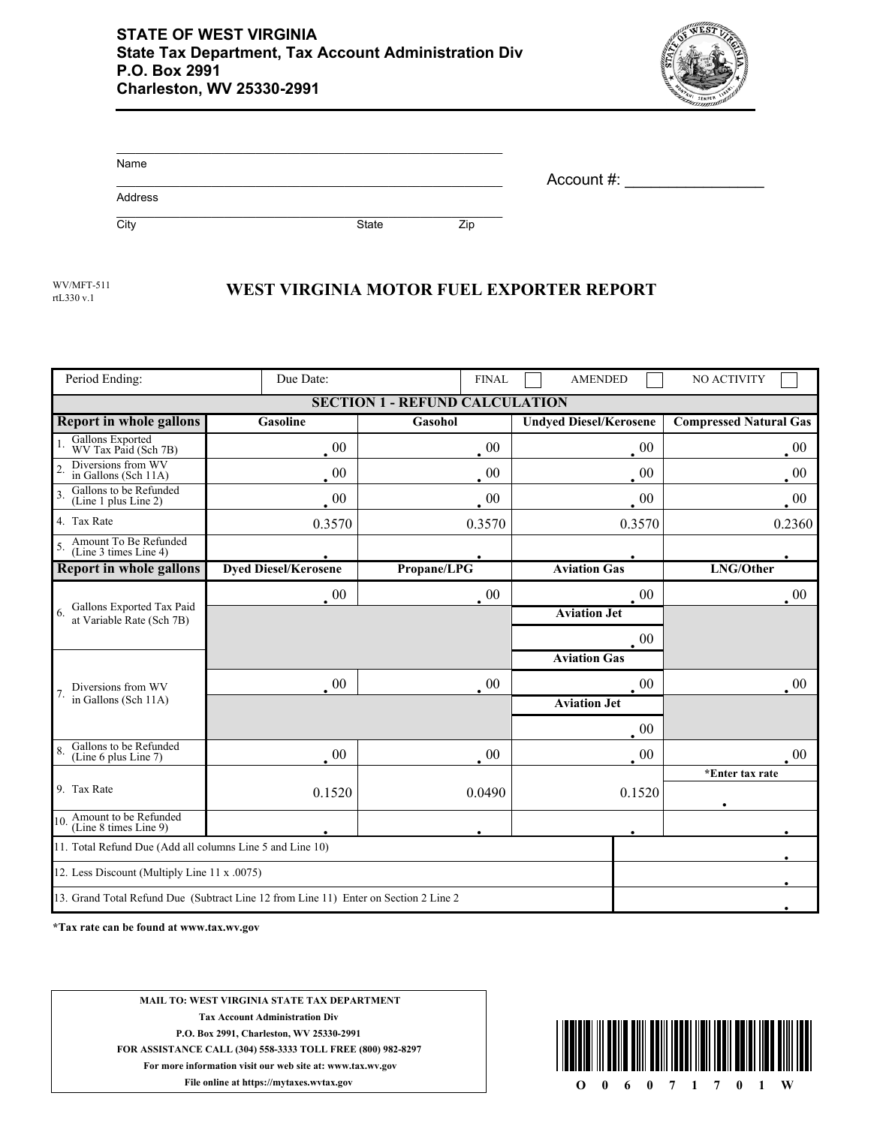

| Name    |              |     | Account #: |
|---------|--------------|-----|------------|
| Address |              |     |            |
| City    | <b>State</b> | Zip |            |

rtL330 v.1

## WV/MFT-511 **WEST VIRGINIA MOTOR FUEL EXPORTER REPORT**

| Period Ending:                                                                       | Due Date:                   | <b>FINAL</b> | <b>AMENDED</b>                | NO ACTIVITY                   |  |  |  |  |  |
|--------------------------------------------------------------------------------------|-----------------------------|--------------|-------------------------------|-------------------------------|--|--|--|--|--|
| <b>SECTION 1 - REFUND CALCULATION</b>                                                |                             |              |                               |                               |  |  |  |  |  |
| <b>Report in whole gallons</b>                                                       | <b>Gasoline</b>             | Gasohol      | <b>Undyed Diesel/Kerosene</b> | <b>Compressed Natural Gas</b> |  |  |  |  |  |
| Gallons Exported<br>WV Tax Paid (Sch 7B)                                             | $\cdot$ 00                  | $00\,$       | $00\,$                        | $00\,$                        |  |  |  |  |  |
| Diversions from WV<br>in Gallons (Sch 11A)                                           | $00\,$                      | $00\,$       | $00\,$                        | $00\,$                        |  |  |  |  |  |
| Gallons to be Refunded<br>$\overline{\mathbf{3}}$<br>(Line 1 plus Line 2)            | $00\,$                      | $00\,$       | $00\,$                        | $00\,$                        |  |  |  |  |  |
| 4. Tax Rate                                                                          | 0.3570                      | 0.3570       | 0.3570                        | 0.2360                        |  |  |  |  |  |
| Amount To Be Refunded<br>(Line 3 times Line 4)                                       |                             |              |                               |                               |  |  |  |  |  |
| <b>Report in whole gallons</b>                                                       | <b>Dyed Diesel/Kerosene</b> | Propane/LPG  | <b>Aviation Gas</b>           | LNG/Other                     |  |  |  |  |  |
| Gallons Exported Tax Paid<br>at Variable Rate (Sch 7B)                               | $\cdot$ 00                  | $\cdot$ 00   | 00                            | $00\,$                        |  |  |  |  |  |
|                                                                                      |                             |              | <b>Aviation Jet</b>           |                               |  |  |  |  |  |
|                                                                                      |                             |              | $00\,$                        |                               |  |  |  |  |  |
| Diversions from WV<br>in Gallons (Sch 11A)                                           |                             |              | <b>Aviation Gas</b>           |                               |  |  |  |  |  |
|                                                                                      | $\cdot$ 00                  | $\cdot$ 00   | $00\,$                        | $00\,$                        |  |  |  |  |  |
|                                                                                      |                             |              | <b>Aviation Jet</b>           |                               |  |  |  |  |  |
|                                                                                      |                             |              | 00                            |                               |  |  |  |  |  |
| Gallons to be Refunded<br>(Line 6 plus Line 7)                                       | $\cdot$ 00                  | $00\,$       | $00\,$                        | $00\,$                        |  |  |  |  |  |
| 9. Tax Rate                                                                          |                             |              |                               | *Enter tax rate               |  |  |  |  |  |
|                                                                                      | 0.1520                      | 0.0490       | 0.1520                        |                               |  |  |  |  |  |
| 10. Amount to be Refunded<br>(Line 8 times Line 9)                                   |                             |              |                               |                               |  |  |  |  |  |
| 11. Total Refund Due (Add all columns Line 5 and Line 10)                            |                             |              |                               |                               |  |  |  |  |  |
| 12. Less Discount (Multiply Line 11 x .0075)                                         |                             |              |                               |                               |  |  |  |  |  |
| 13. Grand Total Refund Due (Subtract Line 12 from Line 11) Enter on Section 2 Line 2 |                             |              |                               |                               |  |  |  |  |  |

**\*Tax rate can be found at www.tax.wv.gov**

**MAIL TO: WEST VIRGINIA STATE TAX DEPARTMENT Tax Account Administration Div P.O. Box 2991, Charleston, WV 25330-2991 FOR ASSISTANCE CALL (304) 558-3333 TOLL FREE (800) 982-8297 For more information visit our web site at: www.tax.wv.gov File online at https://mytaxes.wvtax.gov O** 0 6 0 7 1 7 0 1 W